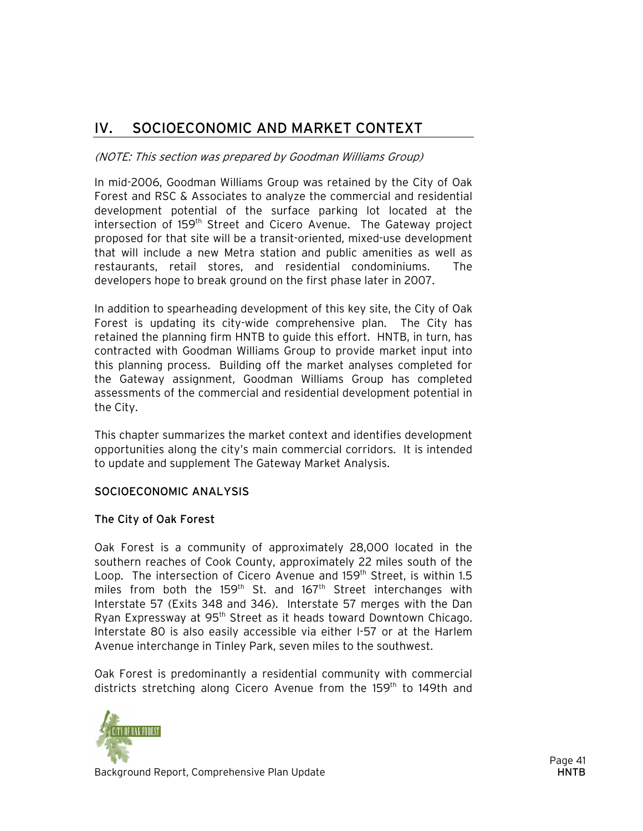### IV. SOCIOECONOMIC AND MARKET CONTEXT

#### (NOTE: This section was prepared by Goodman Williams Group)

In mid-2006, Goodman Williams Group was retained by the City of Oak Forest and RSC & Associates to analyze the commercial and residential development potential of the surface parking lot located at the intersection of 159<sup>th</sup> Street and Cicero Avenue. The Gateway project proposed for that site will be a transit-oriented, mixed-use development that will include a new Metra station and public amenities as well as restaurants, retail stores, and residential condominiums. The developers hope to break ground on the first phase later in 2007.

In addition to spearheading development of this key site, the City of Oak Forest is updating its city-wide comprehensive plan. The City has retained the planning firm HNTB to guide this effort. HNTB, in turn, has contracted with Goodman Williams Group to provide market input into this planning process. Building off the market analyses completed for the Gateway assignment, Goodman Williams Group has completed assessments of the commercial and residential development potential in the City.

This chapter summarizes the market context and identifies development opportunities along the city's main commercial corridors. It is intended to update and supplement The Gateway Market Analysis.

#### SOCIOECONOMIC ANALYSIS

#### The City of Oak Forest

Oak Forest is a community of approximately 28,000 located in the southern reaches of Cook County, approximately 22 miles south of the Loop. The intersection of Cicero Avenue and 159<sup>th</sup> Street, is within 1.5 miles from both the 159<sup>th</sup> St. and 167<sup>th</sup> Street interchanges with Interstate 57 (Exits 348 and 346). Interstate 57 merges with the Dan Ryan Expressway at 95<sup>th</sup> Street as it heads toward Downtown Chicago. Interstate 80 is also easily accessible via either I-57 or at the Harlem Avenue interchange in Tinley Park, seven miles to the southwest.

Oak Forest is predominantly a residential community with commercial districts stretching along Cicero Avenue from the 159<sup>th</sup> to 149th and

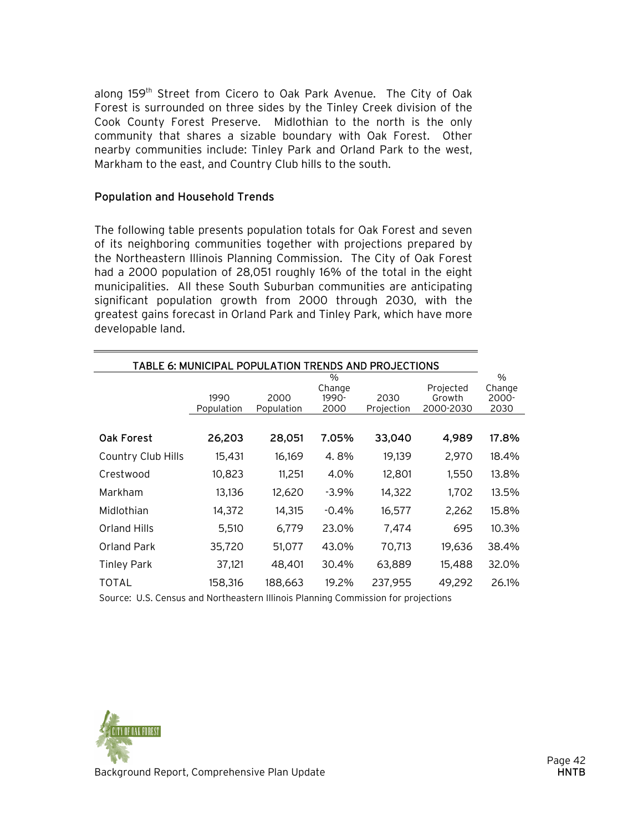along 159<sup>th</sup> Street from Cicero to Oak Park Avenue. The City of Oak Forest is surrounded on three sides by the Tinley Creek division of the Cook County Forest Preserve. Midlothian to the north is the only community that shares a sizable boundary with Oak Forest. Other nearby communities include: Tinley Park and Orland Park to the west, Markham to the east, and Country Club hills to the south.

#### Population and Household Trends

The following table presents population totals for Oak Forest and seven of its neighboring communities together with projections prepared by the Northeastern Illinois Planning Commission. The City of Oak Forest had a 2000 population of 28,051 roughly 16% of the total in the eight municipalities. All these South Suburban communities are anticipating significant population growth from 2000 through 2030, with the greatest gains forecast in Orland Park and Tinley Park, which have more developable land.

| TABLE 6: MUNICIPAL POPULATION TRENDS AND PROJECTIONS |                    |                    |                                 |                    |                                  |                                 |
|------------------------------------------------------|--------------------|--------------------|---------------------------------|--------------------|----------------------------------|---------------------------------|
|                                                      | 1990<br>Population | 2000<br>Population | $\%$<br>Change<br>1990-<br>2000 | 2030<br>Projection | Projected<br>Growth<br>2000-2030 | $\%$<br>Change<br>2000-<br>2030 |
| <b>Oak Forest</b>                                    | 26,203             | 28,051             | 7.05%                           | 33,040             | 4,989                            | 17.8%                           |
| <b>Country Club Hills</b>                            | 15,431             | 16,169             | 4.8%                            | 19,139             | 2,970                            | 18.4%                           |
| Crestwood                                            | 10,823             | 11,251             | 4.0%                            | 12,801             | 1,550                            | 13.8%                           |
| Markham                                              | 13,136             | 12,620             | $-3.9\%$                        | 14,322             | 1,702                            | 13.5%                           |
| Midlothian                                           | 14,372             | 14,315             | $-0.4%$                         | 16,577             | 2,262                            | 15.8%                           |
| Orland Hills                                         | 5,510              | 6,779              | 23.0%                           | 7,474              | 695                              | 10.3%                           |
| Orland Park                                          | 35,720             | 51,077             | 43.0%                           | 70,713             | 19,636                           | 38.4%                           |
| <b>Tinley Park</b>                                   | 37,121             | 48,401             | 30.4%                           | 63,889             | 15,488                           | 32.0%                           |
| TOTAL                                                | 158,316            | 188,663            | 19.2%                           | 237,955            | 49,292                           | 26.1%                           |

Source: U.S. Census and Northeastern Illinois Planning Commission for projections

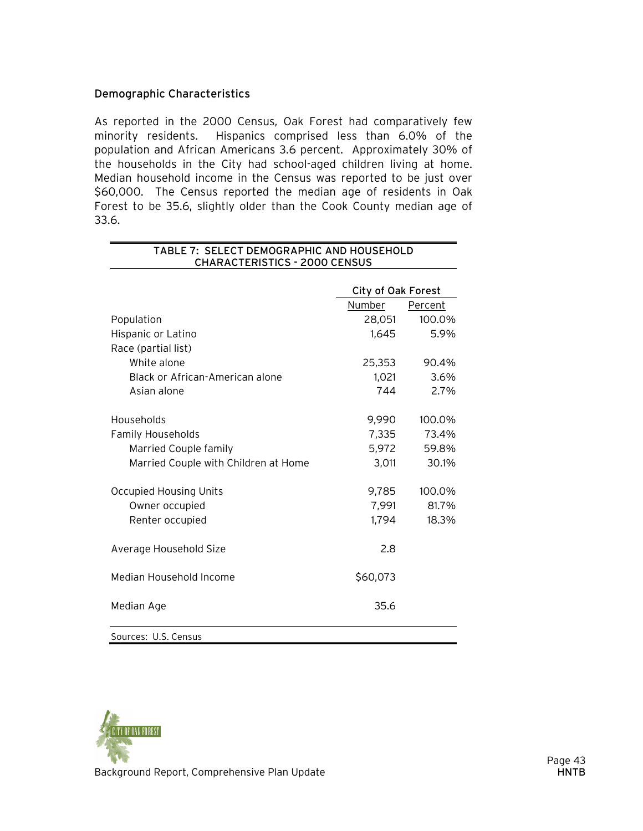#### Demographic Characteristics

As reported in the 2000 Census, Oak Forest had comparatively few minority residents. Hispanics comprised less than 6.0% of the population and African Americans 3.6 percent. Approximately 30% of the households in the City had school-aged children living at home. Median household income in the Census was reported to be just over \$60,000. The Census reported the median age of residents in Oak Forest to be 35.6, slightly older than the Cook County median age of 33.6.

|                                      | City of Oak Forest |         |
|--------------------------------------|--------------------|---------|
|                                      | Number             | Percent |
| Population                           | 28,051             | 100.0%  |
| Hispanic or Latino                   | 1,645              | 5.9%    |
| Race (partial list)                  |                    |         |
| White alone                          | 25,353             | 90.4%   |
| Black or African-American alone      | 1,021              | 3.6%    |
| Asian alone                          | 744                | 2.7%    |
|                                      |                    |         |
| Households                           | 9,990              | 100.0%  |
| <b>Family Households</b>             | 7,335              | 73.4%   |
| Married Couple family                | 5,972              | 59.8%   |
| Married Couple with Children at Home | 3,011              | 30.1%   |
| <b>Occupied Housing Units</b>        | 9,785              | 100.0%  |
| Owner occupied                       | 7,991              | 81.7%   |
| Renter occupied                      | 1,794              | 18.3%   |
|                                      |                    |         |
| Average Household Size               | 2.8                |         |
| Median Household Income              | \$60,073           |         |
| Median Age                           | 35.6               |         |
| Sources: U.S. Census                 |                    |         |



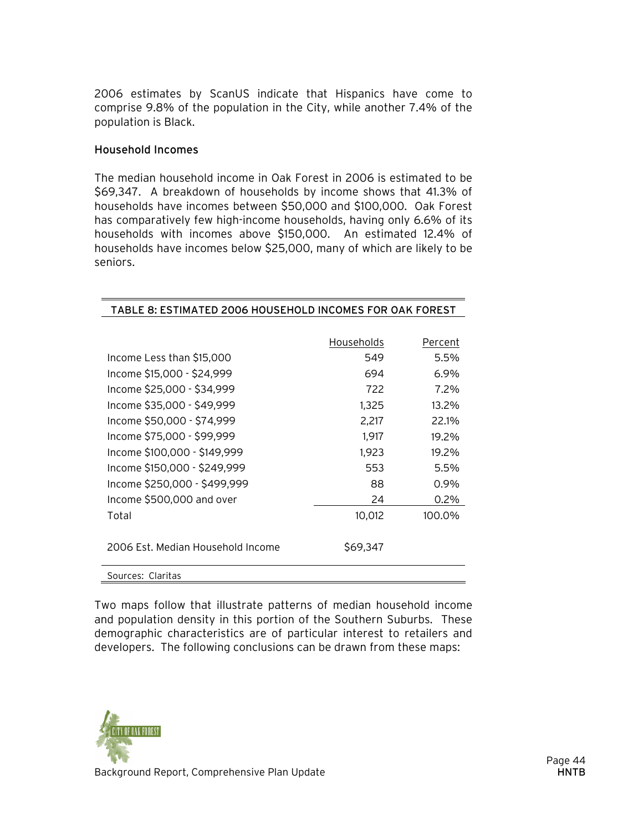2006 estimates by ScanUS indicate that Hispanics have come to comprise 9.8% of the population in the City, while another 7.4% of the population is Black.

#### Household Incomes

The median household income in Oak Forest in 2006 is estimated to be \$69,347. A breakdown of households by income shows that 41.3% of households have incomes between \$50,000 and \$100,000. Oak Forest has comparatively few high-income households, having only 6.6% of its households with incomes above \$150,000. An estimated 12.4% of households have incomes below \$25,000, many of which are likely to be seniors.

TABLE 8: ESTIMATED 2006 HOUSEHOLD INCOMES FOR OAK FOREST

|                                   | Households | Percent |
|-----------------------------------|------------|---------|
| Income Less than \$15,000         | 549        | 5.5%    |
| Income \$15,000 - \$24,999        | 694        | 6.9%    |
| Income \$25,000 - \$34,999        | 722        | 7.2%    |
| Income \$35,000 - \$49,999        | 1,325      | 13.2%   |
| Income \$50,000 - \$74,999        | 2,217      | 22.1%   |
| Income \$75,000 - \$99,999        | 1,917      | 19.2%   |
| Income \$100,000 - \$149,999      | 1,923      | 19.2%   |
| Income \$150,000 - \$249,999      | 553        | 5.5%    |
| Income \$250,000 - \$499,999      | 88         | 0.9%    |
| Income \$500,000 and over         | 24         | 0.2%    |
| Total                             | 10,012     | 100.0%  |
| 2006 Est. Median Household Income | \$69,347   |         |
| Sources: Claritas                 |            |         |

Two maps follow that illustrate patterns of median household income and population density in this portion of the Southern Suburbs. These demographic characteristics are of particular interest to retailers and developers. The following conclusions can be drawn from these maps:

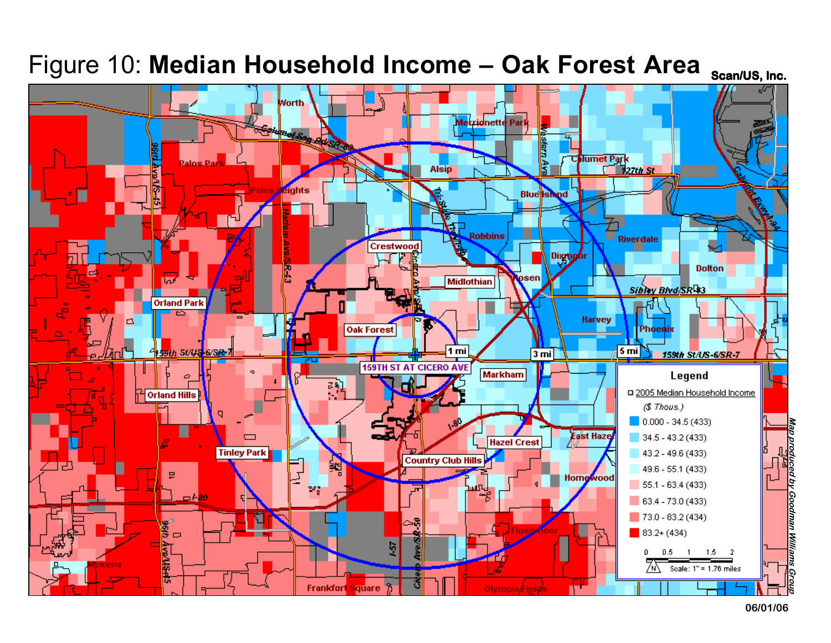

## Figure 10: **Median Household Income – Oak Forest Area** <sub>scan/US, Inc.</sub>

**06/01/06**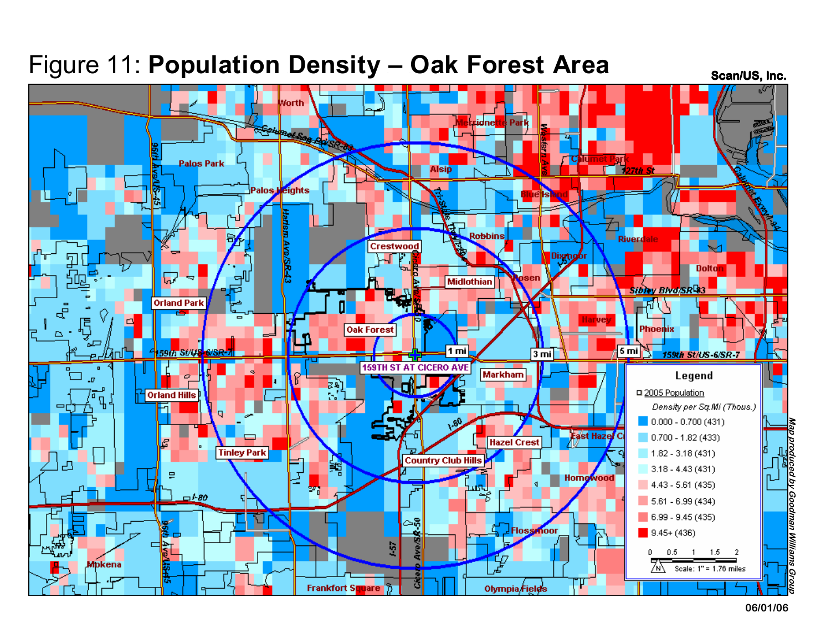### Figure 11: Population Density - Oak Forest Area

**Scan/US, Inc.**



**06/01/06**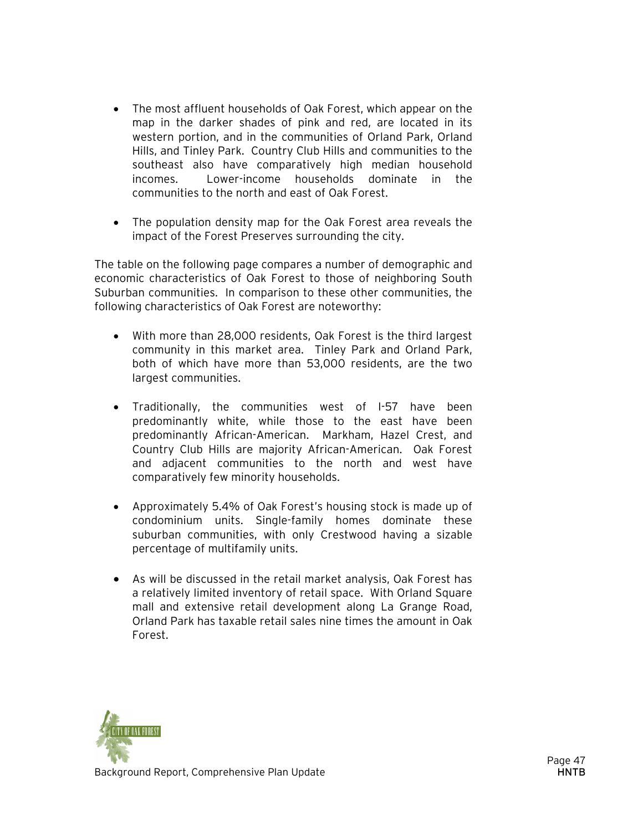- The most affluent households of Oak Forest, which appear on the map in the darker shades of pink and red, are located in its western portion, and in the communities of Orland Park, Orland Hills, and Tinley Park. Country Club Hills and communities to the southeast also have comparatively high median household incomes. Lower-income households dominate in the communities to the north and east of Oak Forest.
- The population density map for the Oak Forest area reveals the impact of the Forest Preserves surrounding the city.

The table on the following page compares a number of demographic and economic characteristics of Oak Forest to those of neighboring South Suburban communities. In comparison to these other communities, the following characteristics of Oak Forest are noteworthy:

- With more than 28,000 residents, Oak Forest is the third largest community in this market area. Tinley Park and Orland Park, both of which have more than 53,000 residents, are the two largest communities.
- Traditionally, the communities west of I-57 have been predominantly white, while those to the east have been predominantly African-American. Markham, Hazel Crest, and Country Club Hills are majority African-American. Oak Forest and adjacent communities to the north and west have comparatively few minority households.
- Approximately 5.4% of Oak Forest's housing stock is made up of condominium units. Single-family homes dominate these suburban communities, with only Crestwood having a sizable percentage of multifamily units.
- As will be discussed in the retail market analysis, Oak Forest has a relatively limited inventory of retail space. With Orland Square mall and extensive retail development along La Grange Road, Orland Park has taxable retail sales nine times the amount in Oak Forest.

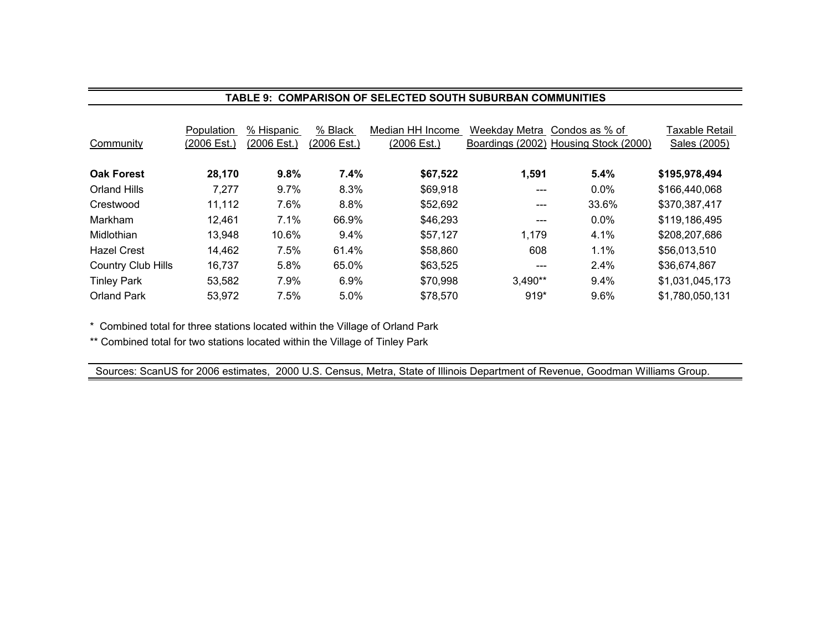#### **TABLE 9: COMPARISON OF SELECTED SOUTH SUBURBAN COMMUNITIES**

| Community                 | Population<br>(2006 Est.) | % Hispanic<br>(2006 Est.) | % Black<br>(2006 Est.) | Median HH Income<br>(2006 Est.) | Weekday Metra<br>Boardings (2002) | Condos as % of<br>Housing Stock (2000) | Taxable Retail<br>Sales (2005) |
|---------------------------|---------------------------|---------------------------|------------------------|---------------------------------|-----------------------------------|----------------------------------------|--------------------------------|
| <b>Oak Forest</b>         | 28,170                    | 9.8%                      | 7.4%                   | \$67,522                        | 1,591                             | 5.4%                                   | \$195,978,494                  |
| Orland Hills              | 7,277                     | $9.7\%$                   | 8.3%                   | \$69,918                        | $---$                             | $0.0\%$                                | \$166,440,068                  |
| Crestwood                 | 11,112                    | 7.6%                      | 8.8%                   | \$52,692                        | ---                               | 33.6%                                  | \$370,387,417                  |
| <b>Markham</b>            | 12,461                    | 7.1%                      | 66.9%                  | \$46,293                        | $---$                             | $0.0\%$                                | \$119,186,495                  |
| Midlothian                | 13,948                    | 10.6%                     | $9.4\%$                | \$57,127                        | 1,179                             | 4.1%                                   | \$208,207,686                  |
| <b>Hazel Crest</b>        | 14,462                    | 7.5%                      | 61.4%                  | \$58,860                        | 608                               | 1.1%                                   | \$56,013,510                   |
| <b>Country Club Hills</b> | 16,737                    | 5.8%                      | 65.0%                  | \$63,525                        | $---$                             | 2.4%                                   | \$36,674,867                   |
| <b>Tinley Park</b>        | 53,582                    | 7.9%                      | 6.9%                   | \$70,998                        | $3,490**$                         | 9.4%                                   | \$1,031,045,173                |
| <b>Orland Park</b>        | 53,972                    | 7.5%                      | 5.0%                   | \$78,570                        | $919*$                            | 9.6%                                   | \$1,780,050,131                |

\* Combined total for three stations located within the Village of Orland Park

\*\* Combined total for two stations located within the Village of Tinley Park

Sources: ScanUS for 2006 estimates, 2000 U.S. Census, Metra, State of Illinois Department of Revenue, Goodman Williams Group.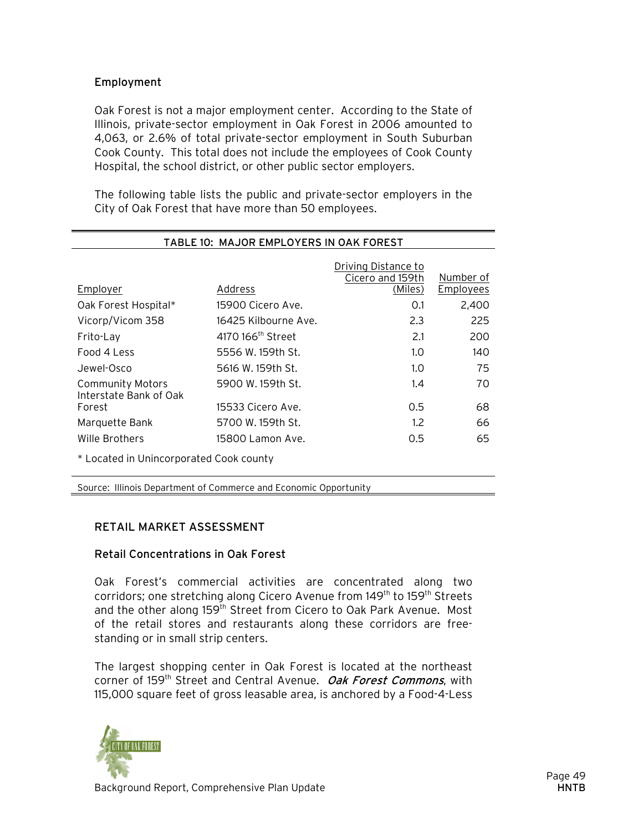#### Employment

Oak Forest is not a major employment center. According to the State of Illinois, private-sector employment in Oak Forest in 2006 amounted to 4,063, or 2.6% of total private-sector employment in South Suburban Cook County. This total does not include the employees of Cook County Hospital, the school district, or other public sector employers.

The following table lists the public and private-sector employers in the City of Oak Forest that have more than 50 employees.

| TABLE 10: MAJOR EMPLOYERS IN OAK FOREST    |                               |                                         |                  |  |
|--------------------------------------------|-------------------------------|-----------------------------------------|------------------|--|
|                                            |                               | Driving Distance to<br>Cicero and 159th | Number of        |  |
| Employer                                   | Address                       | (Miles)                                 | <b>Employees</b> |  |
| Oak Forest Hospital*                       | 15900 Cicero Ave.             | 0.1                                     | 2,400            |  |
| Vicorp/Vicom 358                           | 16425 Kilbourne Ave.          | 2.3                                     | 225              |  |
| Frito-Lay                                  | 4170 166 <sup>th</sup> Street | 2.1                                     | 200              |  |
| Food 4 Less                                | 5556 W. 159th St.             | 1.0                                     | 140              |  |
| Jewel-Osco                                 | 5616 W. 159th St.             | 1.0                                     | 75               |  |
| Community Motors<br>Interstate Bank of Oak | 5900 W. 159th St.             | 1.4                                     | 70               |  |
| Forest                                     | 15533 Cicero Ave.             | 0.5                                     | 68               |  |
| Marquette Bank                             | 5700 W. 159th St.             | 1.2 <sub>2</sub>                        | 66               |  |
| Wille Brothers                             | 15800 Lamon Ave.              | 0.5                                     | 65               |  |
| * Located in Unincorporated Cook county    |                               |                                         |                  |  |

Source: Illinois Department of Commerce and Economic Opportunity

#### RETAIL MARKET ASSESSMENT

#### Retail Concentrations in Oak Forest

Oak Forest's commercial activities are concentrated along two corridors; one stretching along Cicero Avenue from 149<sup>th</sup> to 159<sup>th</sup> Streets and the other along 159<sup>th</sup> Street from Cicero to Oak Park Avenue. Most of the retail stores and restaurants along these corridors are freestanding or in small strip centers.

The largest shopping center in Oak Forest is located at the northeast corner of 159<sup>th</sup> Street and Central Avenue. Oak Forest Commons, with 115,000 square feet of gross leasable area, is anchored by a Food-4-Less

![](_page_8_Picture_9.jpeg)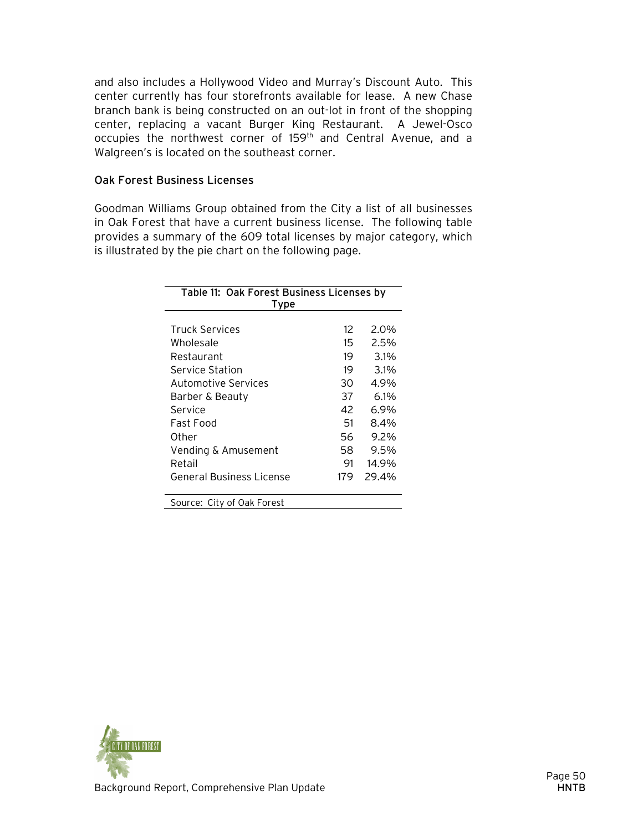and also includes a Hollywood Video and Murray's Discount Auto. This center currently has four storefronts available for lease. A new Chase branch bank is being constructed on an out-lot in front of the shopping center, replacing a vacant Burger King Restaurant. A Jewel-Osco occupies the northwest corner of 159<sup>th</sup> and Central Avenue, and a Walgreen's is located on the southeast corner.

#### Oak Forest Business Licenses

Goodman Williams Group obtained from the City a list of all businesses in Oak Forest that have a current business license. The following table provides a summary of the 609 total licenses by major category, which is illustrated by the pie chart on the following page.

| Table 11: Oak Forest Business Licenses by |     |         |  |  |
|-------------------------------------------|-----|---------|--|--|
| Type                                      |     |         |  |  |
| <b>Truck Services</b>                     | 12  | 2.0%    |  |  |
| Wholesale                                 | 15  | 2.5%    |  |  |
| Restaurant                                | 19  | 3.1%    |  |  |
| Service Station                           | 19  | 3.1%    |  |  |
| Automotive Services                       | 30  | 4.9%    |  |  |
| Barber & Beauty                           | 37  | 6.1%    |  |  |
| Service                                   | 42  | 6.9%    |  |  |
| Fast Food                                 | 51  | 8.4%    |  |  |
| Other                                     | 56  | $9.2\%$ |  |  |
| Vending & Amusement                       | 58  | 9.5%    |  |  |
| Retail                                    | 91  | 14.9%   |  |  |
| General Business License                  | 179 | 29.4%   |  |  |
| Source: City of Oak Forest                |     |         |  |  |

![](_page_9_Picture_4.jpeg)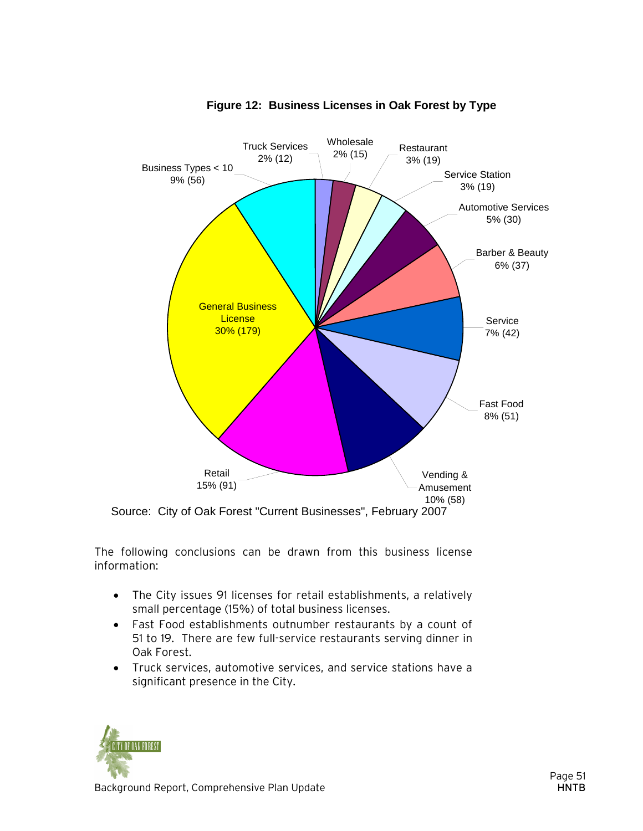![](_page_10_Figure_0.jpeg)

![](_page_10_Figure_1.jpeg)

The following conclusions can be drawn from this business license information:

- The City issues 91 licenses for retail establishments, a relatively small percentage (15%) of total business licenses.
- Fast Food establishments outnumber restaurants by a count of 51 to 19. There are few full-service restaurants serving dinner in Oak Forest.
- Truck services, automotive services, and service stations have a significant presence in the City.

![](_page_10_Picture_6.jpeg)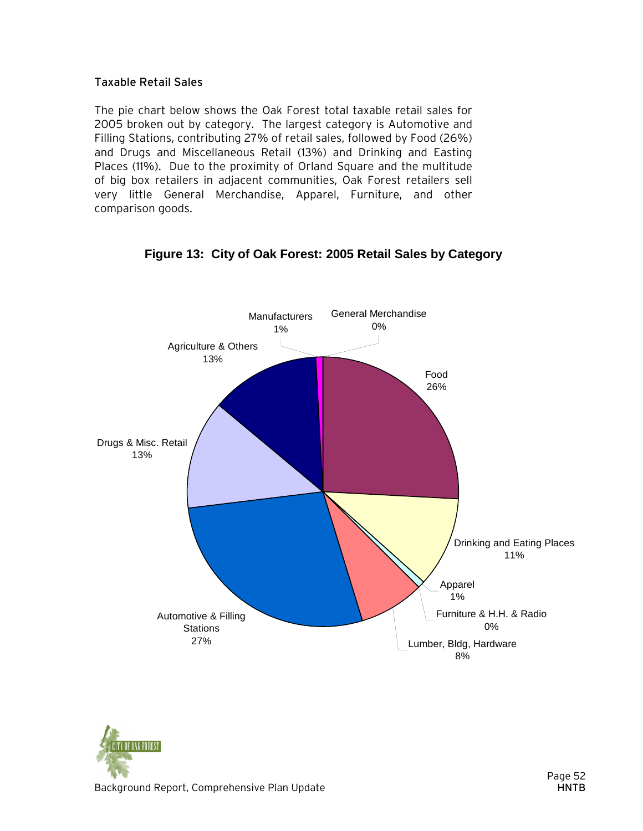#### Taxable Retail Sales

The pie chart below shows the Oak Forest total taxable retail sales for 2005 broken out by category. The largest category is Automotive and Filling Stations, contributing 27% of retail sales, followed by Food (26%) and Drugs and Miscellaneous Retail (13%) and Drinking and Easting Places (11%). Due to the proximity of Orland Square and the multitude of big box retailers in adjacent communities, Oak Forest retailers sell very little General Merchandise, Apparel, Furniture, and other comparison goods.

![](_page_11_Figure_2.jpeg)

#### **Figure 13: City of Oak Forest: 2005 Retail Sales by Category**

![](_page_11_Picture_4.jpeg)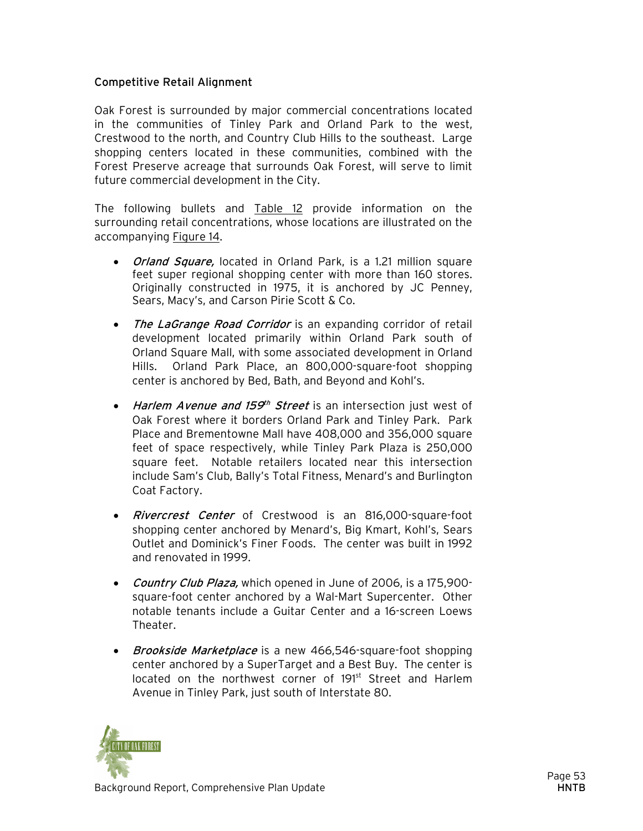#### Competitive Retail Alignment

Oak Forest is surrounded by major commercial concentrations located in the communities of Tinley Park and Orland Park to the west, Crestwood to the north, and Country Club Hills to the southeast. Large shopping centers located in these communities, combined with the Forest Preserve acreage that surrounds Oak Forest, will serve to limit future commercial development in the City.

The following bullets and Table 12 provide information on the surrounding retail concentrations, whose locations are illustrated on the accompanying Figure 14.

- *Orland Square*, located in Orland Park, is a 1.21 million square feet super regional shopping center with more than 160 stores. Originally constructed in 1975, it is anchored by JC Penney, Sears, Macy's, and Carson Pirie Scott & Co.
- The LaGrange Road Corridor is an expanding corridor of retail development located primarily within Orland Park south of Orland Square Mall, with some associated development in Orland Hills. Orland Park Place, an 800,000-square-foot shopping center is anchored by Bed, Bath, and Beyond and Kohl's.
- Harlem Avenue and 159<sup>th</sup> Street is an intersection just west of Oak Forest where it borders Orland Park and Tinley Park. Park Place and Brementowne Mall have 408,000 and 356,000 square feet of space respectively, while Tinley Park Plaza is 250,000 square feet. Notable retailers located near this intersection include Sam's Club, Bally's Total Fitness, Menard's and Burlington Coat Factory.
- *Rivercrest Center* of Crestwood is an 816,000-square-foot shopping center anchored by Menard's, Big Kmart, Kohl's, Sears Outlet and Dominick's Finer Foods. The center was built in 1992 and renovated in 1999.
- Country Club Plaza, which opened in June of 2006, is a 175,900square-foot center anchored by a Wal-Mart Supercenter. Other notable tenants include a Guitar Center and a 16-screen Loews Theater.
- *Brookside Marketplace* is a new 466,546-square-foot shopping center anchored by a SuperTarget and a Best Buy. The center is located on the northwest corner of 191st Street and Harlem Avenue in Tinley Park, just south of Interstate 80.

![](_page_12_Picture_9.jpeg)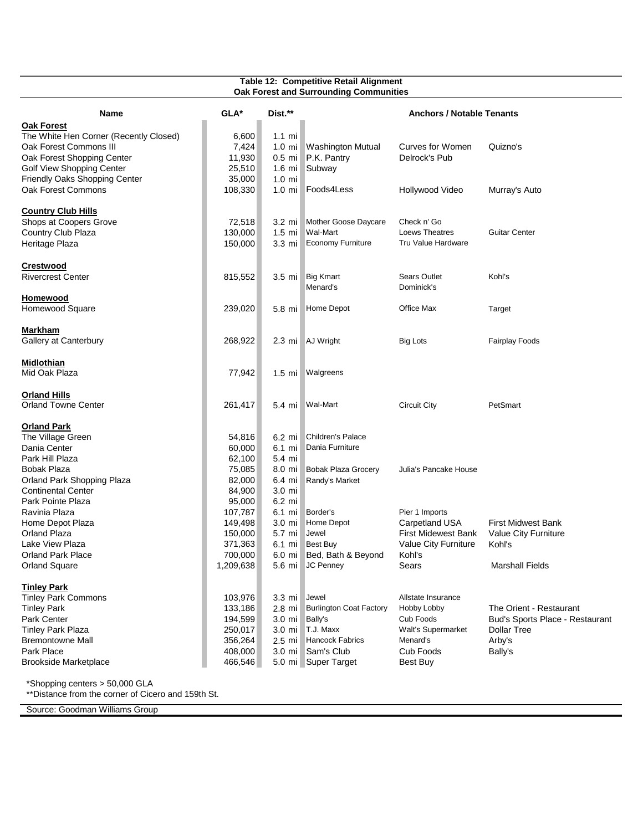|                                        | Table 12: Competitive Retail Alignment<br>Oak Forest and Surrounding Communities |                  |                                |                                  |                                 |  |
|----------------------------------------|----------------------------------------------------------------------------------|------------------|--------------------------------|----------------------------------|---------------------------------|--|
| Name                                   | GLA*                                                                             | Dist.**          |                                | <b>Anchors / Notable Tenants</b> |                                 |  |
| <b>Oak Forest</b>                      |                                                                                  |                  |                                |                                  |                                 |  |
| The White Hen Corner (Recently Closed) | 6,600                                                                            | $1.1$ mi         |                                |                                  |                                 |  |
| Oak Forest Commons III                 | 7,424                                                                            |                  | 1.0 mi Washington Mutual       | Curves for Women                 | Quizno's                        |  |
| Oak Forest Shopping Center             | 11,930                                                                           |                  | 0.5 mi P.K. Pantry             | Delrock's Pub                    |                                 |  |
| Golf View Shopping Center              | 25,510                                                                           |                  | 1.6 mi Subway                  |                                  |                                 |  |
| Friendly Oaks Shopping Center          | 35,000                                                                           | $1.0 \text{ mi}$ |                                |                                  |                                 |  |
| Oak Forest Commons                     | 108,330                                                                          |                  | 1.0 mi Foods4Less              | Hollywood Video                  | Murray's Auto                   |  |
| <b>Country Club Hills</b>              |                                                                                  |                  |                                |                                  |                                 |  |
| Shops at Coopers Grove                 | 72,518                                                                           | 3.2 mi           | Mother Goose Daycare           | Check n' Go                      |                                 |  |
| Country Club Plaza                     | 130,000                                                                          | $1.5$ mi         | Wal-Mart                       | Loews Theatres                   | <b>Guitar Center</b>            |  |
| Heritage Plaza                         | 150,000                                                                          | 3.3 mi           | Economy Furniture              | Tru Value Hardware               |                                 |  |
| <b>Crestwood</b>                       |                                                                                  |                  |                                |                                  |                                 |  |
| <b>Rivercrest Center</b>               | 815,552                                                                          |                  | 3.5 mi Big Kmart               | <b>Sears Outlet</b>              | Kohl's                          |  |
|                                        |                                                                                  |                  | Menard's                       | Dominick's                       |                                 |  |
| Homewood                               |                                                                                  |                  |                                |                                  |                                 |  |
| Homewood Square                        | 239,020                                                                          |                  | 5.8 mi Home Depot              | Office Max                       | Target                          |  |
| <b>Markham</b>                         |                                                                                  |                  |                                |                                  |                                 |  |
| Gallery at Canterbury                  | 268,922                                                                          |                  | 2.3 mi AJ Wright               | <b>Big Lots</b>                  | <b>Fairplay Foods</b>           |  |
| Midlothian                             |                                                                                  |                  |                                |                                  |                                 |  |
| Mid Oak Plaza                          | 77,942                                                                           |                  | 1.5 mi Walgreens               |                                  |                                 |  |
| <b>Orland Hills</b>                    |                                                                                  |                  |                                |                                  |                                 |  |
| <b>Orland Towne Center</b>             | 261,417                                                                          |                  | 5.4 mi Wal-Mart                | <b>Circuit City</b>              | PetSmart                        |  |
| <b>Orland Park</b>                     |                                                                                  |                  |                                |                                  |                                 |  |
| The Village Green                      | 54,816                                                                           | 6.2 mi           | Children's Palace              |                                  |                                 |  |
| Dania Center                           | 60,000                                                                           | 6.1 mi           | Dania Furniture                |                                  |                                 |  |
| Park Hill Plaza                        | 62,100                                                                           | 5.4 mi           |                                |                                  |                                 |  |
| Bobak Plaza                            | 75,085                                                                           | 8.0 mi           | <b>Bobak Plaza Grocery</b>     | Julia's Pancake House            |                                 |  |
| Orland Park Shopping Plaza             | 82,000                                                                           | 6.4 mi           | Randy's Market                 |                                  |                                 |  |
| <b>Continental Center</b>              | 84,900                                                                           | 3.0 mi           |                                |                                  |                                 |  |
| Park Pointe Plaza                      | 95,000                                                                           | 6.2 mi           |                                |                                  |                                 |  |
| Ravinia Plaza                          | 107,787                                                                          | 6.1 mi           | Border's                       | Pier 1 Imports                   |                                 |  |
| Home Depot Plaza                       | 149,498                                                                          | $3.0 \text{ mi}$ | Home Depot                     | Carpetland USA                   | <b>First Midwest Bank</b>       |  |
| <b>Orland Plaza</b>                    | 150,000                                                                          | 5.7 mi           | Jewel                          | <b>First Midewest Bank</b>       | Value City Furniture            |  |
| Lake View Plaza                        | 371,363                                                                          |                  | 6.1 mi Best Buy                | Value City Furniture             | Kohl's                          |  |
| <b>Orland Park Place</b>               | 700,000                                                                          |                  | 6.0 mi Bed, Bath & Beyond      | Kohl's                           |                                 |  |
| <b>Orland Square</b>                   | 1,209,638                                                                        |                  | 5.6 mi JC Penney               | Sears                            | <b>Marshall Fields</b>          |  |
| Tinley Park                            |                                                                                  |                  |                                |                                  |                                 |  |
| <b>Tinley Park Commons</b>             | 103,976                                                                          | 3.3 mi Jewel     |                                | Allstate Insurance               |                                 |  |
| <b>Tinley Park</b>                     | 133,186                                                                          |                  | 2.8 mi Burlington Coat Factory | Hobby Lobby                      | The Orient - Restaurant         |  |
| Park Center                            | 194,599                                                                          | $3.0 \text{ mi}$ | Bally's                        | Cub Foods                        | Bud's Sports Place - Restaurant |  |
| <b>Tinley Park Plaza</b>               | 250,017                                                                          |                  | 3.0 mi T.J. Maxx               | Walt's Supermarket               | <b>Dollar Tree</b>              |  |
| <b>Bremontowne Mall</b>                | 356,264                                                                          |                  | 2.5 mi Hancock Fabrics         | Menard's                         | Arby's                          |  |
| Park Place                             | 408,000                                                                          |                  | 3.0 mi Sam's Club              | Cub Foods                        | Bally's                         |  |
| <b>Brookside Marketplace</b>           | 466,546                                                                          |                  | 5.0 mi Super Target            | Best Buy                         |                                 |  |

\*\*Distance from the corner of Cicero and 159th St.

Source: Goodman Williams Group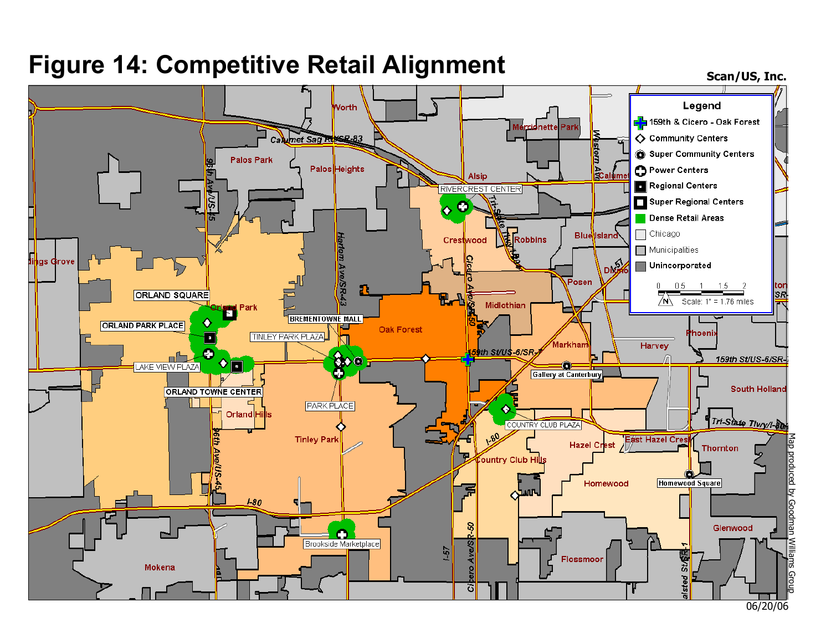## **Figure 14: Competitive Retail Alignment**

**Scan/US, Inc.**

![](_page_14_Figure_2.jpeg)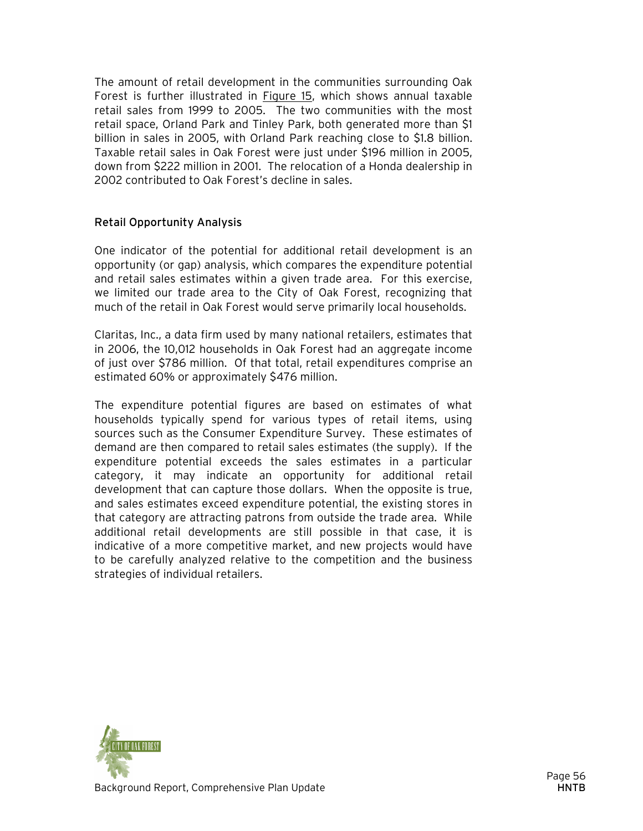The amount of retail development in the communities surrounding Oak Forest is further illustrated in Figure 15, which shows annual taxable retail sales from 1999 to 2005. The two communities with the most retail space, Orland Park and Tinley Park, both generated more than \$1 billion in sales in 2005, with Orland Park reaching close to \$1.8 billion. Taxable retail sales in Oak Forest were just under \$196 million in 2005, down from \$222 million in 2001. The relocation of a Honda dealership in 2002 contributed to Oak Forest's decline in sales.

#### Retail Opportunity Analysis

One indicator of the potential for additional retail development is an opportunity (or gap) analysis, which compares the expenditure potential and retail sales estimates within a given trade area. For this exercise, we limited our trade area to the City of Oak Forest, recognizing that much of the retail in Oak Forest would serve primarily local households.

Claritas, Inc., a data firm used by many national retailers, estimates that in 2006, the 10,012 households in Oak Forest had an aggregate income of just over \$786 million. Of that total, retail expenditures comprise an estimated 60% or approximately \$476 million.

The expenditure potential figures are based on estimates of what households typically spend for various types of retail items, using sources such as the Consumer Expenditure Survey. These estimates of demand are then compared to retail sales estimates (the supply). If the expenditure potential exceeds the sales estimates in a particular category, it may indicate an opportunity for additional retail development that can capture those dollars. When the opposite is true, and sales estimates exceed expenditure potential, the existing stores in that category are attracting patrons from outside the trade area. While additional retail developments are still possible in that case, it is indicative of a more competitive market, and new projects would have to be carefully analyzed relative to the competition and the business strategies of individual retailers.

![](_page_15_Picture_5.jpeg)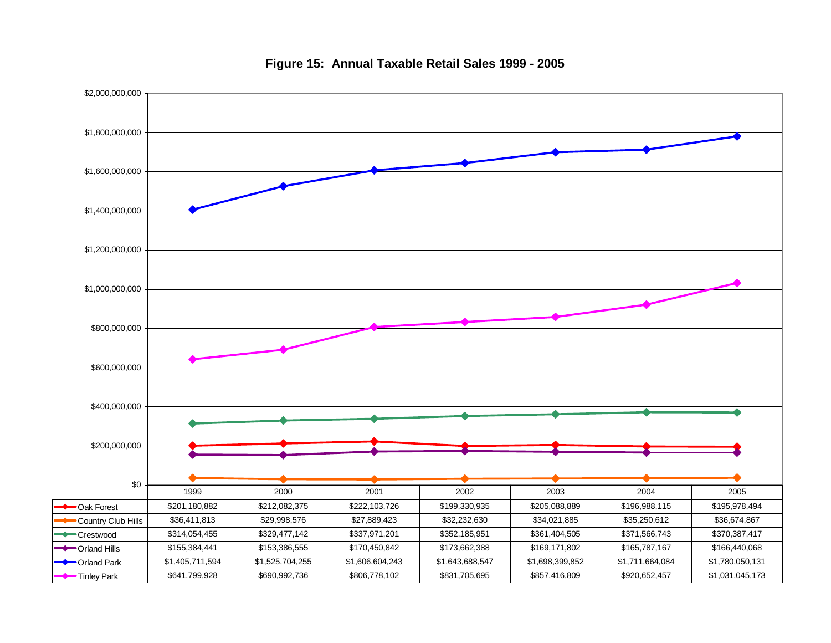![](_page_16_Figure_0.jpeg)

**Figure 15: Annual Taxable Retail Sales 1999 - 2005**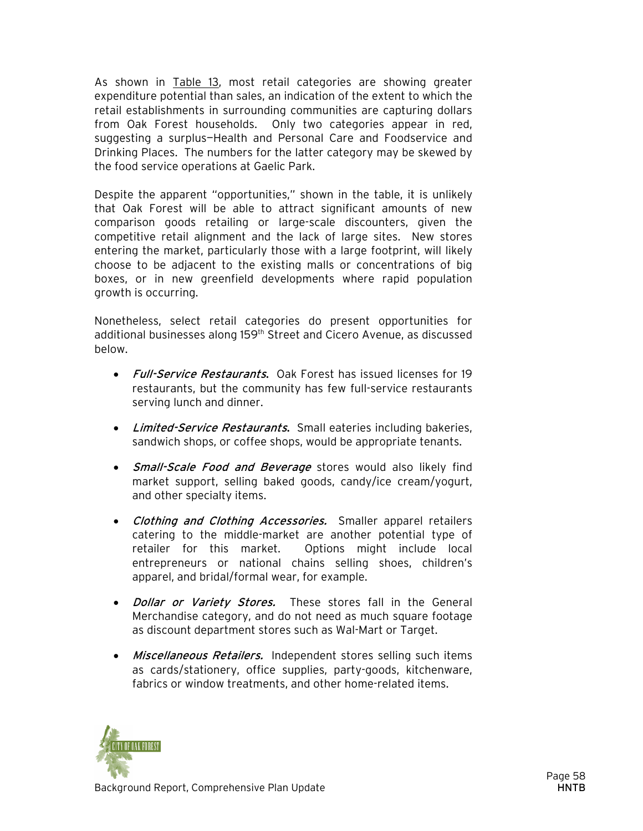As shown in Table 13, most retail categories are showing greater expenditure potential than sales, an indication of the extent to which the retail establishments in surrounding communities are capturing dollars from Oak Forest households. Only two categories appear in red, suggesting a surplus—Health and Personal Care and Foodservice and Drinking Places. The numbers for the latter category may be skewed by the food service operations at Gaelic Park.

Despite the apparent "opportunities," shown in the table, it is unlikely that Oak Forest will be able to attract significant amounts of new comparison goods retailing or large-scale discounters, given the competitive retail alignment and the lack of large sites. New stores entering the market, particularly those with a large footprint, will likely choose to be adjacent to the existing malls or concentrations of big boxes, or in new greenfield developments where rapid population growth is occurring.

Nonetheless, select retail categories do present opportunities for additional businesses along 159<sup>th</sup> Street and Cicero Avenue, as discussed below.

- Full-Service Restaurants. Oak Forest has issued licenses for 19 restaurants, but the community has few full-service restaurants serving lunch and dinner.
- Limited-Service Restaurants. Small eateries including bakeries, sandwich shops, or coffee shops, would be appropriate tenants.
- Small-Scale Food and Beverage stores would also likely find market support, selling baked goods, candy/ice cream/yogurt, and other specialty items.
- Clothing and Clothing Accessories. Smaller apparel retailers catering to the middle-market are another potential type of retailer for this market. Options might include local entrepreneurs or national chains selling shoes, children's apparel, and bridal/formal wear, for example.
- *Dollar or Variety Stores*. These stores fall in the General Merchandise category, and do not need as much square footage as discount department stores such as Wal-Mart or Target.
- Miscellaneous Retailers. Independent stores selling such items as cards/stationery, office supplies, party-goods, kitchenware, fabrics or window treatments, and other home-related items.

![](_page_17_Picture_9.jpeg)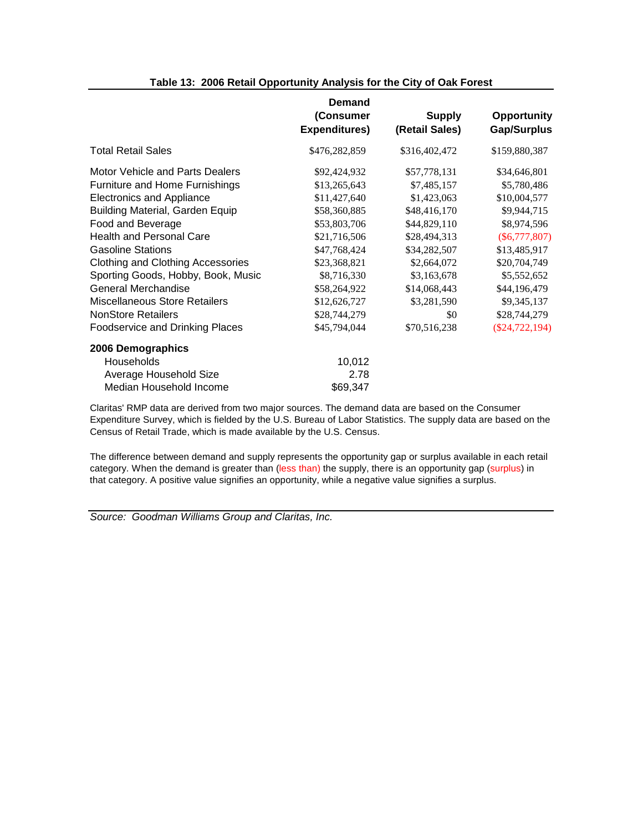|                                        | <b>Demand</b><br>(Consumer<br><b>Expenditures)</b> | <b>Supply</b><br>(Retail Sales) | <b>Opportunity</b><br>Gap/Surplus |
|----------------------------------------|----------------------------------------------------|---------------------------------|-----------------------------------|
| <b>Total Retail Sales</b>              | \$476,282,859                                      | \$316,402,472                   | \$159,880,387                     |
| Motor Vehicle and Parts Dealers        | \$92,424,932                                       | \$57,778,131                    | \$34,646,801                      |
| Furniture and Home Furnishings         | \$13,265,643                                       | \$7,485,157                     | \$5,780,486                       |
| <b>Electronics and Appliance</b>       | \$11,427,640                                       | \$1,423,063                     | \$10,004,577                      |
| <b>Building Material, Garden Equip</b> | \$58,360,885                                       | \$48,416,170                    | \$9,944,715                       |
| Food and Beverage                      | \$53,803,706                                       | \$44,829,110                    | \$8,974,596                       |
| <b>Health and Personal Care</b>        | \$21,716,506                                       | \$28,494,313                    | $(\$6,777,807)$                   |
| <b>Gasoline Stations</b>               | \$47,768,424                                       | \$34,282,507                    | \$13,485,917                      |
| Clothing and Clothing Accessories      | \$23,368,821                                       | \$2,664,072                     | \$20,704,749                      |
| Sporting Goods, Hobby, Book, Music     | \$8,716,330                                        | \$3,163,678                     | \$5,552,652                       |
| General Merchandise                    | \$58,264,922                                       | \$14,068,443                    | \$44,196,479                      |
| <b>Miscellaneous Store Retailers</b>   | \$12,626,727                                       | \$3,281,590                     | \$9,345,137                       |
| <b>NonStore Retailers</b>              | \$28,744,279                                       | \$0                             | \$28,744,279                      |
| <b>Foodservice and Drinking Places</b> | \$45,794,044                                       | \$70,516,238                    | $(\$24,722,194)$                  |
| 2006 Demographics                      |                                                    |                                 |                                   |
| Households                             | 10,012                                             |                                 |                                   |
| Average Household Size                 | 2.78                                               |                                 |                                   |
| Median Household Income                | \$69,347                                           |                                 |                                   |

#### **Table 13: 2006 Retail Opportunity Analysis for the City of Oak Forest**

Claritas' RMP data are derived from two major sources. The demand data are based on the Consumer Expenditure Survey, which is fielded by the U.S. Bureau of Labor Statistics. The supply data are based on the Census of Retail Trade, which is made available by the U.S. Census.

The difference between demand and supply represents the opportunity gap or surplus available in each retail category. When the demand is greater than (less than) the supply, there is an opportunity gap (surplus) in that category. A positive value signifies an opportunity, while a negative value signifies a surplus.

Source: Goodman Williams Group and Claritas, Inc.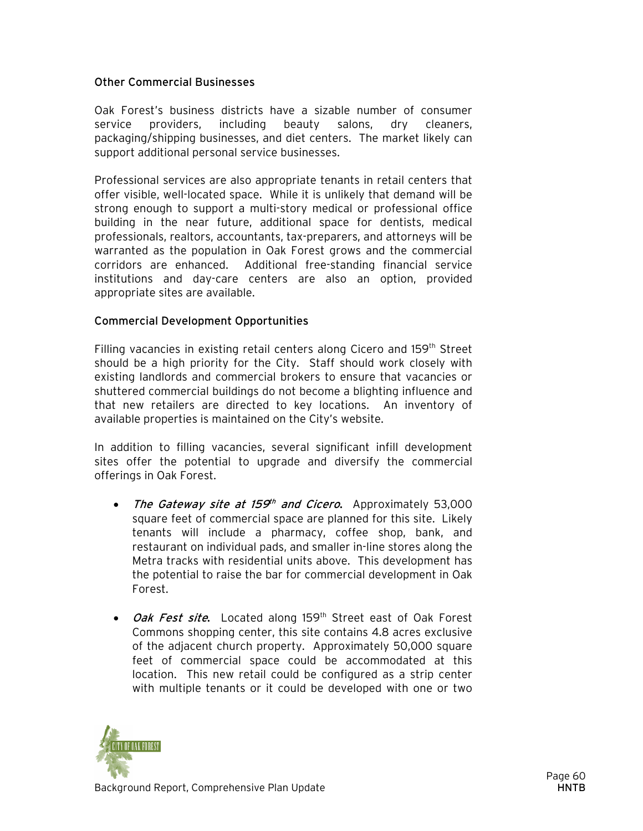#### Other Commercial Businesses

Oak Forest's business districts have a sizable number of consumer service providers, including beauty salons, dry cleaners, packaging/shipping businesses, and diet centers. The market likely can support additional personal service businesses.

Professional services are also appropriate tenants in retail centers that offer visible, well-located space. While it is unlikely that demand will be strong enough to support a multi-story medical or professional office building in the near future, additional space for dentists, medical professionals, realtors, accountants, tax-preparers, and attorneys will be warranted as the population in Oak Forest grows and the commercial corridors are enhanced. Additional free-standing financial service institutions and day-care centers are also an option, provided appropriate sites are available.

#### Commercial Development Opportunities

Filling vacancies in existing retail centers along Cicero and  $159<sup>th</sup>$  Street should be a high priority for the City. Staff should work closely with existing landlords and commercial brokers to ensure that vacancies or shuttered commercial buildings do not become a blighting influence and that new retailers are directed to key locations. An inventory of available properties is maintained on the City's website.

In addition to filling vacancies, several significant infill development sites offer the potential to upgrade and diversify the commercial offerings in Oak Forest.

- The Gateway site at 159<sup>th</sup> and Cicero. Approximately 53,000 square feet of commercial space are planned for this site. Likely tenants will include a pharmacy, coffee shop, bank, and restaurant on individual pads, and smaller in-line stores along the Metra tracks with residential units above. This development has the potential to raise the bar for commercial development in Oak Forest.
- Oak Fest site. Located along 159<sup>th</sup> Street east of Oak Forest Commons shopping center, this site contains 4.8 acres exclusive of the adjacent church property. Approximately 50,000 square feet of commercial space could be accommodated at this location. This new retail could be configured as a strip center with multiple tenants or it could be developed with one or two

![](_page_19_Picture_8.jpeg)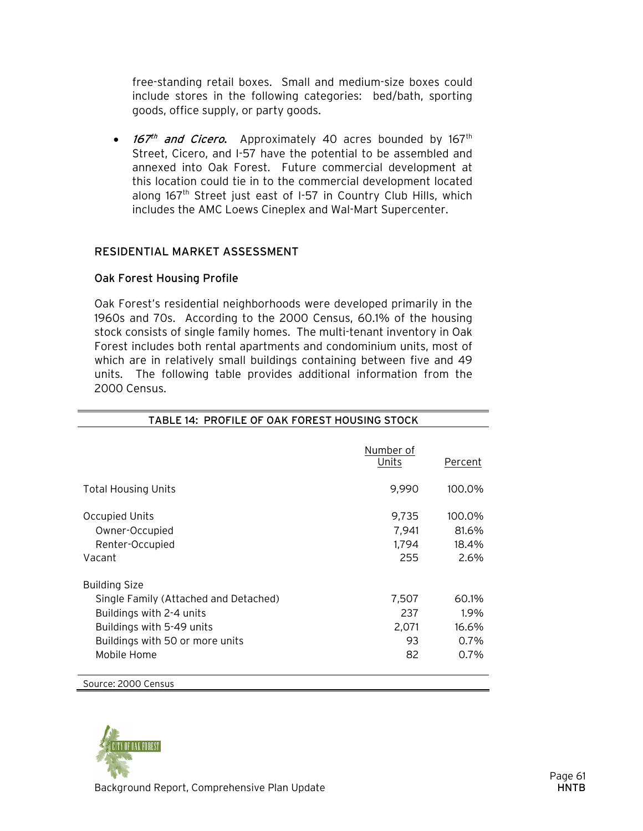free-standing retail boxes. Small and medium-size boxes could include stores in the following categories: bed/bath, sporting goods, office supply, or party goods.

• 167<sup>th</sup> and Cicero. Approximately 40 acres bounded by 167<sup>th</sup> Street, Cicero, and I-57 have the potential to be assembled and annexed into Oak Forest. Future commercial development at this location could tie in to the commercial development located along 167<sup>th</sup> Street just east of I-57 in Country Club Hills, which includes the AMC Loews Cineplex and Wal-Mart Supercenter.

#### RESIDENTIAL MARKET ASSESSMENT

#### Oak Forest Housing Profile

Oak Forest's residential neighborhoods were developed primarily in the 1960s and 70s. According to the 2000 Census, 60.1% of the housing stock consists of single family homes. The multi-tenant inventory in Oak Forest includes both rental apartments and condominium units, most of which are in relatively small buildings containing between five and 49 units. The following table provides additional information from the 2000 Census.

| TABLE 14: PROFILE OF OAK FOREST HOUSING STOCK                                                                                                                            |                                   |                                        |  |
|--------------------------------------------------------------------------------------------------------------------------------------------------------------------------|-----------------------------------|----------------------------------------|--|
|                                                                                                                                                                          | Number of<br>Units                | Percent                                |  |
| <b>Total Housing Units</b>                                                                                                                                               | 9,990                             | 100.0%                                 |  |
| <b>Occupied Units</b><br>Owner-Occupied<br>Renter-Occupied<br>Vacant                                                                                                     | 9,735<br>7,941<br>1,794<br>255    | 100.0%<br>81.6%<br>18.4%<br>2.6%       |  |
| <b>Building Size</b><br>Single Family (Attached and Detached)<br>Buildings with 2-4 units<br>Buildings with 5-49 units<br>Buildings with 50 or more units<br>Mobile Home | 7,507<br>237<br>2,071<br>93<br>82 | 60.1%<br>1.9%<br>16.6%<br>0.7%<br>0.7% |  |
| Source: 2000 Census                                                                                                                                                      |                                   |                                        |  |

![](_page_20_Picture_6.jpeg)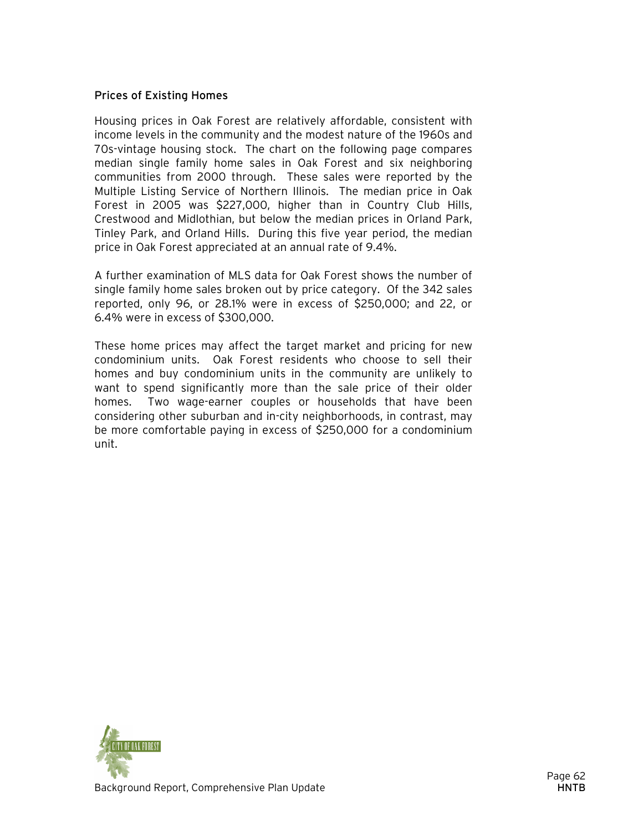#### Prices of Existing Homes

Housing prices in Oak Forest are relatively affordable, consistent with income levels in the community and the modest nature of the 1960s and 70s-vintage housing stock. The chart on the following page compares median single family home sales in Oak Forest and six neighboring communities from 2000 through. These sales were reported by the Multiple Listing Service of Northern Illinois. The median price in Oak Forest in 2005 was \$227,000, higher than in Country Club Hills, Crestwood and Midlothian, but below the median prices in Orland Park, Tinley Park, and Orland Hills. During this five year period, the median price in Oak Forest appreciated at an annual rate of 9.4%.

A further examination of MLS data for Oak Forest shows the number of single family home sales broken out by price category. Of the 342 sales reported, only 96, or 28.1% were in excess of \$250,000; and 22, or 6.4% were in excess of \$300,000.

These home prices may affect the target market and pricing for new condominium units. Oak Forest residents who choose to sell their homes and buy condominium units in the community are unlikely to want to spend significantly more than the sale price of their older homes. Two wage-earner couples or households that have been considering other suburban and in-city neighborhoods, in contrast, may be more comfortable paying in excess of \$250,000 for a condominium unit.

![](_page_21_Picture_4.jpeg)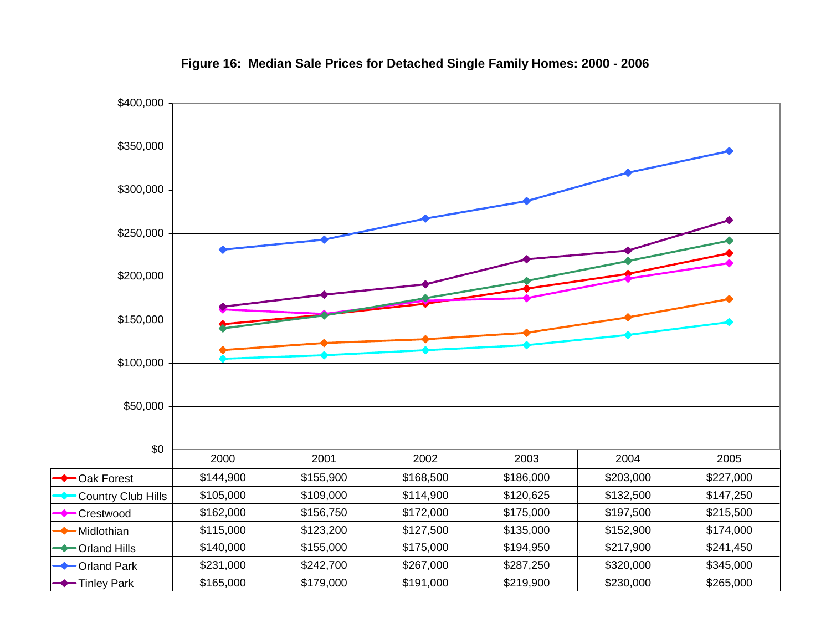![](_page_22_Figure_0.jpeg)

**Figure 16: Median Sale Prices for Detached Single Family Homes: 2000 - 2006**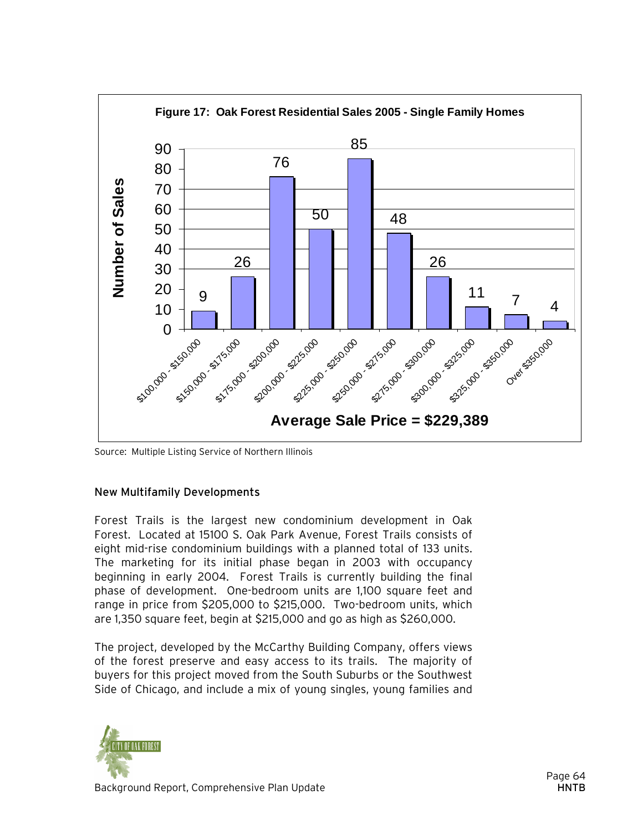![](_page_23_Figure_0.jpeg)

Source: Multiple Listing Service of Northern Illinois

#### New Multifamily Developments

Forest Trails is the largest new condominium development in Oak Forest. Located at 15100 S. Oak Park Avenue, Forest Trails consists of eight mid-rise condominium buildings with a planned total of 133 units. The marketing for its initial phase began in 2003 with occupancy beginning in early 2004. Forest Trails is currently building the final phase of development. One-bedroom units are 1,100 square feet and range in price from \$205,000 to \$215,000. Two-bedroom units, which are 1,350 square feet, begin at \$215,000 and go as high as \$260,000.

The project, developed by the McCarthy Building Company, offers views of the forest preserve and easy access to its trails. The majority of buyers for this project moved from the South Suburbs or the Southwest Side of Chicago, and include a mix of young singles, young families and

![](_page_23_Picture_5.jpeg)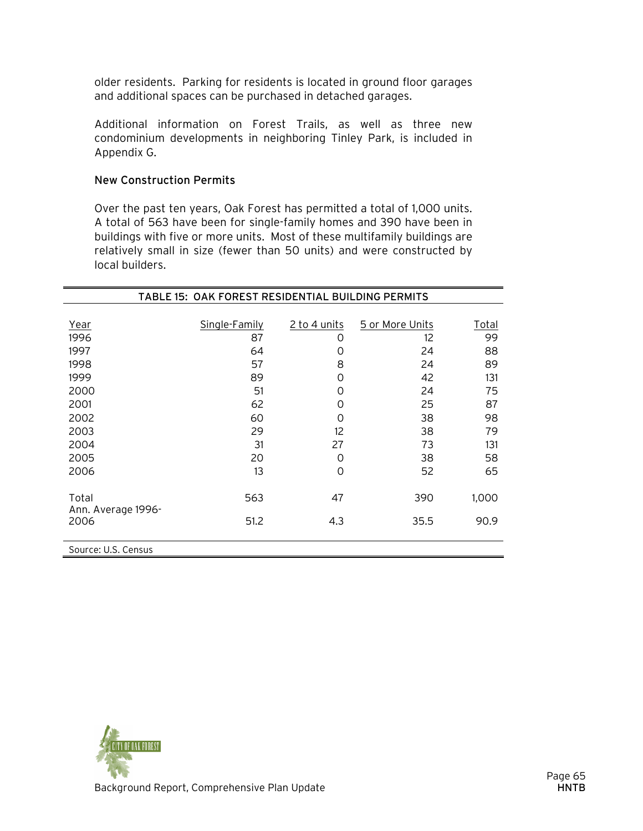older residents. Parking for residents is located in ground floor garages and additional spaces can be purchased in detached garages.

Additional information on Forest Trails, as well as three new condominium developments in neighboring Tinley Park, is included in Appendix G.

#### New Construction Permits

Over the past ten years, Oak Forest has permitted a total of 1,000 units. A total of 563 have been for single-family homes and 390 have been in buildings with five or more units. Most of these multifamily buildings are relatively small in size (fewer than 50 units) and were constructed by local builders.

| TABLE 15: OAK FOREST RESIDENTIAL BUILDING PERMITS |               |              |                 |       |
|---------------------------------------------------|---------------|--------------|-----------------|-------|
|                                                   |               |              |                 |       |
| Year                                              | Single-Family | 2 to 4 units | 5 or More Units | Total |
| 1996                                              | 87            | 0            | 12              | 99    |
| 1997                                              | 64            | 0            | 24              | 88    |
| 1998                                              | 57            | 8            | 24              | 89    |
| 1999                                              | 89            | 0            | 42              | 131   |
| 2000                                              | 51            | O            | 24              | 75    |
| 2001                                              | 62            | 0            | 25              | 87    |
| 2002                                              | 60            | O            | 38              | 98    |
| 2003                                              | 29            | 12           | 38              | 79    |
| 2004                                              | 31            | 27           | 73              | 131   |
| 2005                                              | 20            | O            | 38              | 58    |
| 2006                                              | 13            | 0            | 52              | 65    |
|                                                   |               |              |                 |       |
| Total                                             | 563           | 47           | 390             | 1,000 |
| Ann. Average 1996-                                |               |              |                 |       |
| 2006                                              | 51.2          | 4.3          | 35.5            | 90.9  |
|                                                   |               |              |                 |       |
| Source: U.S. Census                               |               |              |                 |       |

![](_page_24_Picture_5.jpeg)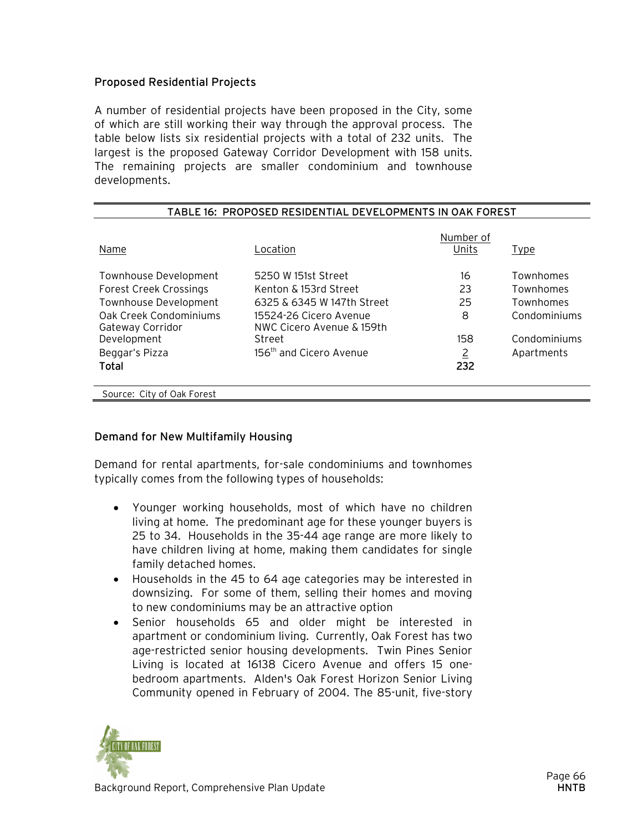#### Proposed Residential Projects

A number of residential projects have been proposed in the City, some of which are still working their way through the approval process. The table below lists six residential projects with a total of 232 units. The largest is the proposed Gateway Corridor Development with 158 units. The remaining projects are smaller condominium and townhouse developments.

| T IN VIDED IN EUIDEN HAE DEVELUI MENTU HI VAN TUNEUT |                                                     |                    |              |  |
|------------------------------------------------------|-----------------------------------------------------|--------------------|--------------|--|
| Name                                                 | Location                                            | Number of<br>Units | <b>Type</b>  |  |
| Townhouse Development                                | 5250 W 151st Street                                 | 16                 | Townhomes    |  |
| <b>Forest Creek Crossings</b>                        | Kenton & 153rd Street                               | 23                 | Townhomes    |  |
| Townhouse Development                                | 6325 & 6345 W 147th Street                          | 25                 | Townhomes    |  |
| Oak Creek Condominiums<br>Gateway Corridor           | 15524-26 Cicero Avenue<br>NWC Cicero Avenue & 159th | 8                  | Condominiums |  |
| Development                                          | Street                                              | 158                | Condominiums |  |
| Beggar's Pizza                                       | 156 <sup>th</sup> and Cicero Avenue                 | $\overline{2}$     | Apartments   |  |
| Total                                                |                                                     | 232                |              |  |
|                                                      |                                                     |                    |              |  |
| Source: City of Oak Forest                           |                                                     |                    |              |  |

#### TABLE 16: PROPOSED RESIDENTIAL DEVELOPMENTS IN OAK FOREST

#### Demand for New Multifamily Housing

Demand for rental apartments, for-sale condominiums and townhomes typically comes from the following types of households:

- Younger working households, most of which have no children living at home. The predominant age for these younger buyers is 25 to 34. Households in the 35-44 age range are more likely to have children living at home, making them candidates for single family detached homes.
- Households in the 45 to 64 age categories may be interested in downsizing. For some of them, selling their homes and moving to new condominiums may be an attractive option
- Senior households 65 and older might be interested in apartment or condominium living. Currently, Oak Forest has two age-restricted senior housing developments. Twin Pines Senior Living is located at 16138 Cicero Avenue and offers 15 onebedroom apartments. Alden's Oak Forest Horizon Senior Living Community opened in February of 2004. The 85-unit, five-story

![](_page_25_Picture_9.jpeg)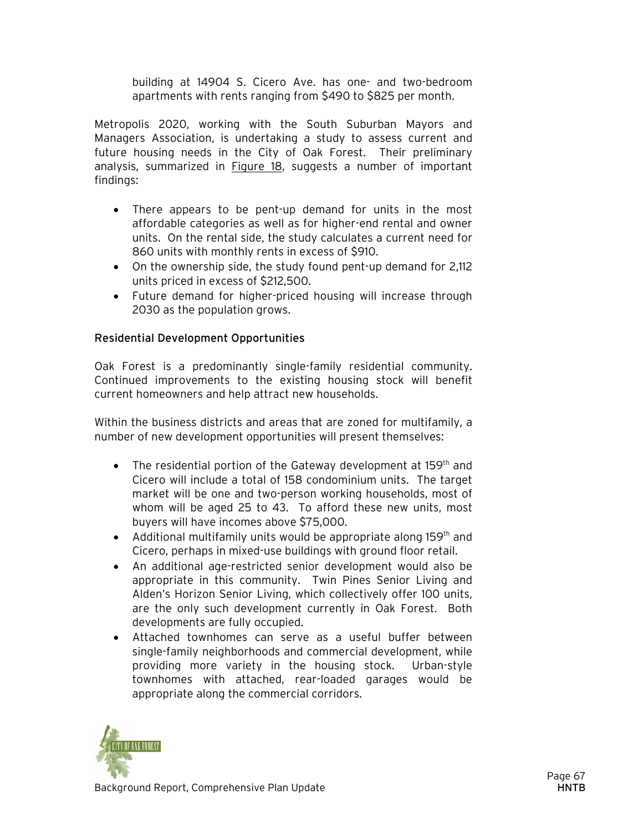building at 14904 S. Cicero Ave. has one- and two-bedroom apartments with rents ranging from \$490 to \$825 per month.

Metropolis 2020, working with the South Suburban Mayors and Managers Association, is undertaking a study to assess current and future housing needs in the City of Oak Forest. Their preliminary analysis, summarized in Figure 18, suggests a number of important findings:

- There appears to be pent-up demand for units in the most affordable categories as well as for higher-end rental and owner units. On the rental side, the study calculates a current need for 860 units with monthly rents in excess of \$910.
- On the ownership side, the study found pent-up demand for 2,112 units priced in excess of \$212,500.
- Future demand for higher-priced housing will increase through 2030 as the population grows.

#### Residential Development Opportunities

Oak Forest is a predominantly single-family residential community. Continued improvements to the existing housing stock will benefit current homeowners and help attract new households.

Within the business districts and areas that are zoned for multifamily, a number of new development opportunities will present themselves:

- The residential portion of the Gateway development at 159<sup>th</sup> and Cicero will include a total of 158 condominium units. The target market will be one and two-person working households, most of whom will be aged 25 to 43. To afford these new units, most buyers will have incomes above \$75,000.
- Additional multifamily units would be appropriate along 159<sup>th</sup> and Cicero, perhaps in mixed-use buildings with ground floor retail.
- An additional age-restricted senior development would also be appropriate in this community. Twin Pines Senior Living and Alden's Horizon Senior Living, which collectively offer 100 units, are the only such development currently in Oak Forest. Both developments are fully occupied.
- Attached townhomes can serve as a useful buffer between single-family neighborhoods and commercial development, while providing more variety in the housing stock. Urban-style townhomes with attached, rear-loaded garages would be appropriate along the commercial corridors.

![](_page_26_Picture_12.jpeg)